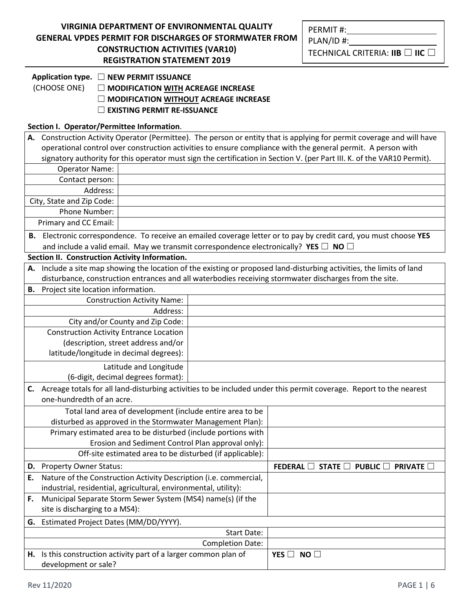| <u>VIRGINIA DEPARTMENT OF ENVIRONMENTAL QUALITY</u>    |
|--------------------------------------------------------|
| GENERAL VPDES PERMIT FOR DISCHARGES OF STORMWATER FROM |
| <b>CONSTRUCTION ACTIVITIES (VAR10)</b>                 |
| <b>REGISTRATION STATEMENT 2019</b>                     |

**Application type.** ☐ **NEW PERMIT ISSUANCE**

(CHOOSE ONE) ☐ **MODIFICATION WITH ACREAGE INCREASE** 

☐ **MODIFICATION WITHOUT ACREAGE INCREASE**

☐ **EXISTING PERMIT RE-ISSUANCE** 

## **Section I. Operator/Permittee Information**.

|                                                                   | A. Construction Activity Operator (Permittee). The person or entity that is applying for permit coverage and will have  |                                    |                                                                      |                                                                                                                       |
|-------------------------------------------------------------------|-------------------------------------------------------------------------------------------------------------------------|------------------------------------|----------------------------------------------------------------------|-----------------------------------------------------------------------------------------------------------------------|
|                                                                   | operational control over construction activities to ensure compliance with the general permit. A person with            |                                    |                                                                      |                                                                                                                       |
|                                                                   | signatory authority for this operator must sign the certification in Section V. (per Part III. K. of the VAR10 Permit). |                                    |                                                                      |                                                                                                                       |
|                                                                   | <b>Operator Name:</b>                                                                                                   |                                    |                                                                      |                                                                                                                       |
|                                                                   | Contact person:                                                                                                         |                                    |                                                                      |                                                                                                                       |
|                                                                   | Address:                                                                                                                |                                    |                                                                      |                                                                                                                       |
|                                                                   | City, State and Zip Code:                                                                                               |                                    |                                                                      |                                                                                                                       |
|                                                                   | Phone Number:                                                                                                           |                                    |                                                                      |                                                                                                                       |
|                                                                   | Primary and CC Email:                                                                                                   |                                    |                                                                      |                                                                                                                       |
|                                                                   |                                                                                                                         |                                    |                                                                      | B. Electronic correspondence. To receive an emailed coverage letter or to pay by credit card, you must choose YES     |
|                                                                   |                                                                                                                         |                                    |                                                                      | and include a valid email. May we transmit correspondence electronically? YES $\Box$ NO $\Box$                        |
|                                                                   | Section II. Construction Activity Information.                                                                          |                                    |                                                                      |                                                                                                                       |
|                                                                   |                                                                                                                         |                                    |                                                                      | A. Include a site map showing the location of the existing or proposed land-disturbing activities, the limits of land |
|                                                                   |                                                                                                                         |                                    |                                                                      | disturbance, construction entrances and all waterbodies receiving stormwater discharges from the site.                |
|                                                                   | <b>B.</b> Project site location information.                                                                            |                                    |                                                                      |                                                                                                                       |
|                                                                   |                                                                                                                         | <b>Construction Activity Name:</b> |                                                                      |                                                                                                                       |
|                                                                   |                                                                                                                         | Address:                           |                                                                      |                                                                                                                       |
|                                                                   |                                                                                                                         | City and/or County and Zip Code:   |                                                                      |                                                                                                                       |
|                                                                   | <b>Construction Activity Entrance Location</b>                                                                          |                                    |                                                                      |                                                                                                                       |
|                                                                   | (description, street address and/or                                                                                     |                                    |                                                                      |                                                                                                                       |
|                                                                   | latitude/longitude in decimal degrees):                                                                                 |                                    |                                                                      |                                                                                                                       |
|                                                                   | Latitude and Longitude                                                                                                  |                                    |                                                                      |                                                                                                                       |
|                                                                   | (6-digit, decimal degrees format):                                                                                      |                                    |                                                                      |                                                                                                                       |
| C.                                                                |                                                                                                                         |                                    |                                                                      | Acreage totals for all land-disturbing activities to be included under this permit coverage. Report to the nearest    |
|                                                                   | one-hundredth of an acre.                                                                                               |                                    |                                                                      |                                                                                                                       |
|                                                                   | Total land area of development (include entire area to be                                                               |                                    |                                                                      |                                                                                                                       |
|                                                                   |                                                                                                                         |                                    | disturbed as approved in the Stormwater Management Plan):            |                                                                                                                       |
|                                                                   | Primary estimated area to be disturbed (include portions with                                                           |                                    |                                                                      |                                                                                                                       |
|                                                                   | Erosion and Sediment Control Plan approval only):                                                                       |                                    |                                                                      |                                                                                                                       |
|                                                                   | Off-site estimated area to be disturbed (if applicable):                                                                |                                    |                                                                      |                                                                                                                       |
|                                                                   | D. Property Owner Status:                                                                                               |                                    | FEDERAL <b>II</b><br><b>STATE</b><br><b>PUBLIC</b><br><b>PRIVATE</b> |                                                                                                                       |
| E.                                                                | Nature of the Construction Activity Description (i.e. commercial,                                                       |                                    |                                                                      |                                                                                                                       |
| industrial, residential, agricultural, environmental, utility):   |                                                                                                                         |                                    |                                                                      |                                                                                                                       |
| Municipal Separate Storm Sewer System (MS4) name(s) (if the<br>F. |                                                                                                                         |                                    |                                                                      |                                                                                                                       |
| site is discharging to a MS4):                                    |                                                                                                                         |                                    |                                                                      |                                                                                                                       |
| G.                                                                | Estimated Project Dates (MM/DD/YYYY).                                                                                   |                                    |                                                                      |                                                                                                                       |
|                                                                   |                                                                                                                         |                                    | <b>Start Date:</b>                                                   |                                                                                                                       |
|                                                                   | <b>Completion Date:</b>                                                                                                 |                                    |                                                                      |                                                                                                                       |
|                                                                   | H. Is this construction activity part of a larger common plan of<br>NO<br>YES $\Box$                                    |                                    |                                                                      |                                                                                                                       |
|                                                                   | development or sale?                                                                                                    |                                    |                                                                      |                                                                                                                       |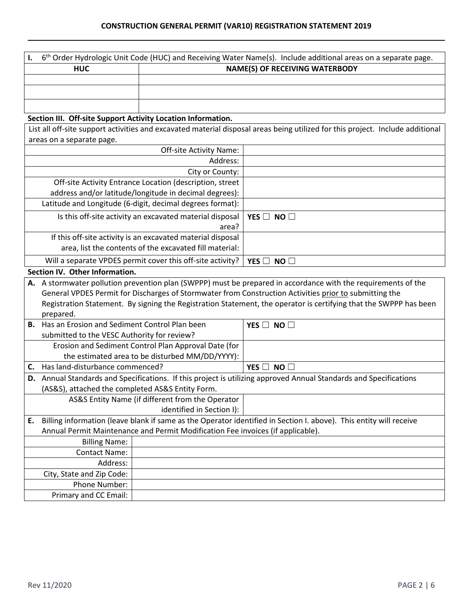| $6th$ Order Hydrologic Unit Code (HUC) and Receiving Water Name(s). Include additional areas on a separate page. |                                       |  |
|------------------------------------------------------------------------------------------------------------------|---------------------------------------|--|
| <b>HUC</b>                                                                                                       | <b>NAME(S) OF RECEIVING WATERBODY</b> |  |
|                                                                                                                  |                                       |  |
|                                                                                                                  |                                       |  |
|                                                                                                                  |                                       |  |

## **Section III. Off-site Support Activity Location Information.**

List all off-site support activities and excavated material disposal areas being utilized for this project. Include additional areas on a separate page.

| <b>Off-site Activity Name:</b>                              |                      |
|-------------------------------------------------------------|----------------------|
| Address:                                                    |                      |
| City or County:                                             |                      |
| Off-site Activity Entrance Location (description, street    |                      |
| address and/or latitude/longitude in decimal degrees):      |                      |
| Latitude and Longitude (6-digit, decimal degrees format):   |                      |
| Is this off-site activity an excavated material disposal    | YES $\Box$ NO $\Box$ |
| area?                                                       |                      |
| If this off-site activity is an excavated material disposal |                      |
| area, list the contents of the excavated fill material:     |                      |
| Will a separate VPDES permit cover this off-site activity?  | YES $\Box$ NO $\Box$ |
|                                                             |                      |

## **Section IV. Other Information.**

|    | A. A stormwater pollution prevention plan (SWPPP) must be prepared in accordance with the requirements of the     |                                                                                 |                                                                                                                    |  |
|----|-------------------------------------------------------------------------------------------------------------------|---------------------------------------------------------------------------------|--------------------------------------------------------------------------------------------------------------------|--|
|    | General VPDES Permit for Discharges of Stormwater from Construction Activities prior to submitting the            |                                                                                 |                                                                                                                    |  |
|    | Registration Statement. By signing the Registration Statement, the operator is certifying that the SWPPP has been |                                                                                 |                                                                                                                    |  |
|    | prepared.                                                                                                         |                                                                                 |                                                                                                                    |  |
|    | <b>B.</b> Has an Erosion and Sediment Control Plan been<br>YES $\Box$ NO $\Box$                                   |                                                                                 |                                                                                                                    |  |
|    | submitted to the VESC Authority for review?                                                                       |                                                                                 |                                                                                                                    |  |
|    |                                                                                                                   | Erosion and Sediment Control Plan Approval Date (for                            |                                                                                                                    |  |
|    |                                                                                                                   | the estimated area to be disturbed MM/DD/YYYY):                                 |                                                                                                                    |  |
| C. | Has land-disturbance commenced?                                                                                   |                                                                                 | YES $\Box$ NO $\Box$                                                                                               |  |
| D. | Annual Standards and Specifications. If this project is utilizing approved Annual Standards and Specifications    |                                                                                 |                                                                                                                    |  |
|    | (AS&S), attached the completed AS&S Entity Form.                                                                  |                                                                                 |                                                                                                                    |  |
|    |                                                                                                                   | AS&S Entity Name (if different from the Operator                                |                                                                                                                    |  |
|    |                                                                                                                   | identified in Section I):                                                       |                                                                                                                    |  |
| E. |                                                                                                                   |                                                                                 | Billing information (leave blank if same as the Operator identified in Section I. above). This entity will receive |  |
|    |                                                                                                                   | Annual Permit Maintenance and Permit Modification Fee invoices (if applicable). |                                                                                                                    |  |
|    | <b>Billing Name:</b>                                                                                              |                                                                                 |                                                                                                                    |  |
|    | <b>Contact Name:</b>                                                                                              |                                                                                 |                                                                                                                    |  |
|    | Address:                                                                                                          |                                                                                 |                                                                                                                    |  |
|    | City, State and Zip Code:                                                                                         |                                                                                 |                                                                                                                    |  |
|    | Phone Number:                                                                                                     |                                                                                 |                                                                                                                    |  |
|    | Primary and CC Email:                                                                                             |                                                                                 |                                                                                                                    |  |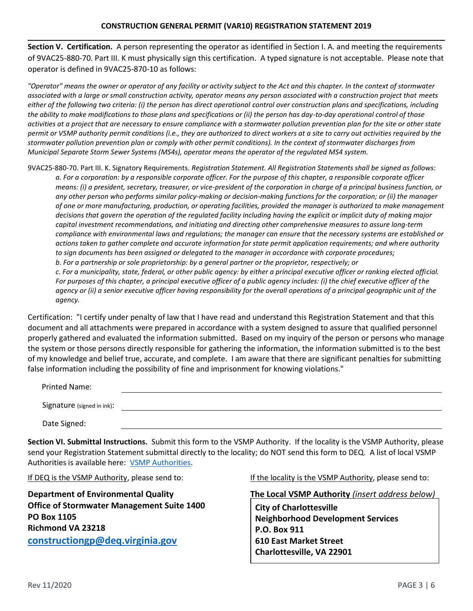**Section V. Certification.** A person representing the operator as identified in Section I. A. and meeting the requirements of 9VAC25-880-70. Part III. K must physically sign this certification. A typed signature is not acceptable. Please note that operator is defined in 9VAC25-870-10 as follows:

*"Operator" means the owner or operator of any facility or activity subject to the Act and this chapter. In the context of stormwater associated with a large or small construction activity, operator means any person associated with a construction project that meets either of the following two criteria: (i) the person has direct operational control over construction plans and specifications, including the ability to make modifications to those plans and specifications or (ii) the person has day-to-day operational control of those activities at a project that are necessary to ensure compliance with a stormwater pollution prevention plan for the site or other state permit or VSMP authority permit conditions (i.e., they are authorized to direct workers at a site to carry out activities required by the stormwater pollution prevention plan or comply with other permit conditions). In the context of stormwater discharges from Municipal Separate Storm Sewer Systems (MS4s), operator means the operator of the regulated MS4 system.*

9VAC25-880-70. Part III. K. Signatory Requirements. *Registration Statement. All Registration Statements shall be signed as follows: a. For a corporation: by a responsible corporate officer. For the purpose of this chapter, a responsible corporate officer means: (i) a president, secretary, treasurer, or vice-president of the corporation in charge of a principal business function, or any other person who performs similar policy-making or decision-making functions for the corporation; or (ii) the manager of one or more manufacturing, production, or operating facilities, provided the manager is authorized to make management decisions that govern the operation of the regulated facility including having the explicit or implicit duty of making major capital investment recommendations, and initiating and directing other comprehensive measures to assure long-term compliance with environmental laws and regulations; the manager can ensure that the necessary systems are established or actions taken to gather complete and accurate information for state permit application requirements; and where authority to sign documents has been assigned or delegated to the manager in accordance with corporate procedures; b. For a partnership or sole proprietorship: by a general partner or the proprietor, respectively; or c. For a municipality, state, federal, or other public agency: by either a principal executive officer or ranking elected official. For purposes of this chapter, a principal executive officer of a public agency includes: (i) the chief executive officer of the agency or (ii) a senior executive officer having responsibility for the overall operations of a principal geographic unit of the agency.*

Certification: "I certify under penalty of law that I have read and understand this Registration Statement and that this document and all attachments were prepared in accordance with a system designed to assure that qualified personnel properly gathered and evaluated the information submitted. Based on my inquiry of the person or persons who manage the system or those persons directly responsible for gathering the information, the information submitted is to the best of my knowledge and belief true, accurate, and complete. I am aware that there are significant penalties for submitting false information including the possibility of fine and imprisonment for knowing violations."

| <b>Printed Name:</b>       |  |
|----------------------------|--|
| Signature (signed in ink): |  |
| Date Signed:               |  |

**Section VI. Submittal Instructions.** Submit this form to the VSMP Authority. If the locality is the VSMP Authority, please send your Registration Statement submittal directly to the locality; do NOT send this form to DEQ. A list of local VSMP Authorities is available here: [VSMP Authorities.](https://www.deq.virginia.gov/Portals/0/DEQ/Water/StormwaterManagement/CGP%20Links/VSMP%20Authority%20List.xlsx?ver=2017-12-01-085039-713)

**Office of Stormwater Management Suite 1400 PO Box 1105 Richmond VA 23218 [constructiongp@deq.virginia.gov](mailto:constructiongp@deq.virginia.gov)**

If DEQ is the VSMP Authority, please send to: If the locality is the VSMP Authority, please send to:

**Department of Environmental Quality The Local VSMP Authority** *(insert address below)*

**City of Charlottesville Neighborhood Development Services P.O. Box 911 610 East Market Street Charlottesville, VA 22901**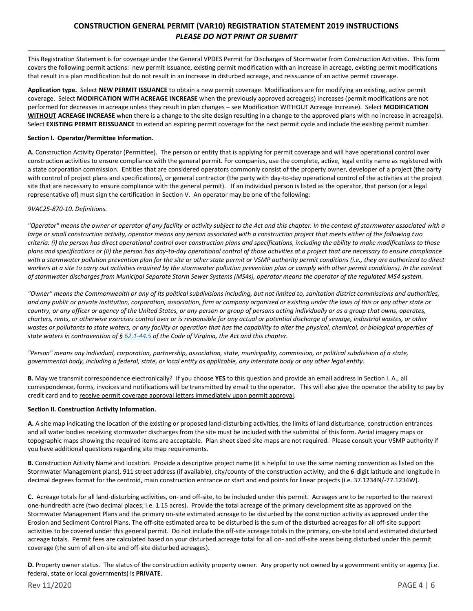## **CONSTRUCTION GENERAL PERMIT (VAR10) REGISTRATION STATEMENT 2019 INSTRUCTIONS**  *PLEASE DO NOT PRINT OR SUBMIT*

This Registration Statement is for coverage under the General VPDES Permit for Discharges of Stormwater from Construction Activities. This form covers the following permit actions: new permit issuance, existing permit modification with an increase in acreage, existing permit modifications that result in a plan modification but do not result in an increase in disturbed acreage, and reissuance of an active permit coverage.

**Application type.** Select **NEW PERMIT ISSUANCE** to obtain a new permit coverage. Modifications are for modifying an existing, active permit coverage. Select **MODIFICATION WITH ACREAGE INCREASE** when the previously approved acreage(s) increases (permit modifications are not performed for decreases in acreage unless they result in plan changes – see Modification WITHOUT Acreage Increase). Select **MODIFICATION WITHOUT ACREAGE INCREASE** when there is a change to the site design resulting in a change to the approved plans with no increase in acreage(s). Select **EXISTING PERMIT REISSUANCE** to extend an expiring permit coverage for the next permit cycle and include the existing permit number.

#### **Section I. Operator/Permittee Information.**

**A.** Construction Activity Operator (Permittee). The person or entity that is applying for permit coverage and will have operational control over construction activities to ensure compliance with the general permit. For companies, use the complete, active, legal entity name as registered with a state corporation commission. Entities that are considered operators commonly consist of the property owner, developer of a project (the party with control of project plans and specifications), or general contractor (the party with day-to-day operational control of the activities at the project site that are necessary to ensure compliance with the general permit). If an individual person is listed as the operator, that person (or a legal representative of) must sign the certification in Section V. An operator may be one of the following:

### *9VAC25-870-10. Definitions.*

*"Operator" means the owner or operator of any facility or activity subject to the Act and this chapter. In the context of stormwater associated with a large or small construction activity, operator means any person associated with a construction project that meets either of the following two criteria: (i) the person has direct operational control over construction plans and specifications, including the ability to make modifications to those plans and specifications or (ii) the person has day-to-day operational control of those activities at a project that are necessary to ensure compliance with a stormwater pollution prevention plan for the site or other state permit or VSMP authority permit conditions (i.e., they are authorized to direct workers at a site to carry out activities required by the stormwater pollution prevention plan or comply with other permit conditions). In the context of stormwater discharges from Municipal Separate Storm Sewer Systems (MS4s), operator means the operator of the regulated MS4 system.*

*"Owner" means the Commonwealth or any of its political subdivisions including, but not limited to, sanitation district commissions and authorities, and any public or private institution, corporation, association, firm or company organized or existing under the laws of this or any other state or country, or any officer or agency of the United States, or any person or group of persons acting individually or as a group that owns, operates, charters, rents, or otherwise exercises control over or is responsible for any actual or potential discharge of sewage, industrial wastes, or other*  wastes or pollutants to state waters, or any facility or operation that has the capability to alter the physical, chemical, or biological properties of *state waters in contravention of § [62.1-44.5](http://law.lis.virginia.gov/vacode/62.1-44.5/) of the Code of Virginia, the Act and this chapter.*

*"Person" means any individual, corporation, partnership, association, state, municipality, commission, or political subdivision of a state, governmental body, including a federal, state, or local entity as applicable, any interstate body or any other legal entity.*

**B.** May we transmit correspondence electronically? If you choose **YES** to this question and provide an email address in Section I. A., all correspondence, forms, invoices and notifications will be transmitted by email to the operator. This will also give the operator the ability to pay by credit card and to receive permit coverage approval letters immediately upon permit approval.

### **Section II. Construction Activity Information.**

**A.** A site map indicating the location of the existing or proposed land-disturbing activities, the limits of land disturbance, construction entrances and all water bodies receiving stormwater discharges from the site must be included with the submittal of this form. Aerial imagery maps or topographic maps showing the required items are acceptable. Plan sheet sized site maps are not required. Please consult your VSMP authority if you have additional questions regarding site map requirements.

**B.** Construction Activity Name and location. Provide a descriptive project name (it is helpful to use the same naming convention as listed on the Stormwater Management plans), 911 street address (if available), city/county of the construction activity, and the 6-digit latitude and longitude in decimal degrees format for the centroid, main construction entrance or start and end points for linear projects (i.e. 37.1234N/-77.1234W).

**C.** Acreage totals for all land-disturbing activities, on- and off-site, to be included under this permit. Acreages are to be reported to the nearest one-hundredth acre (two decimal places; i.e. 1.15 acres). Provide the total acreage of the primary development site as approved on the Stormwater Management Plans and the primary on-site estimated acreage to be disturbed by the construction activity as approved under the Erosion and Sediment Control Plans. The off-site estimated area to be disturbed is the sum of the disturbed acreages for all off-site support activities to be covered under this general permit. Do not include the off-site acreage totals in the primary, on-site total and estimated disturbed acreage totals. Permit fees are calculated based on your disturbed acreage total for all on- and off-site areas being disturbed under this permit coverage (the sum of all on-site and off-site disturbed acreages).

**D.** Property owner status. The status of the construction activity property owner. Any property not owned by a government entity or agency (i.e. federal, state or local governments) is **PRIVATE**.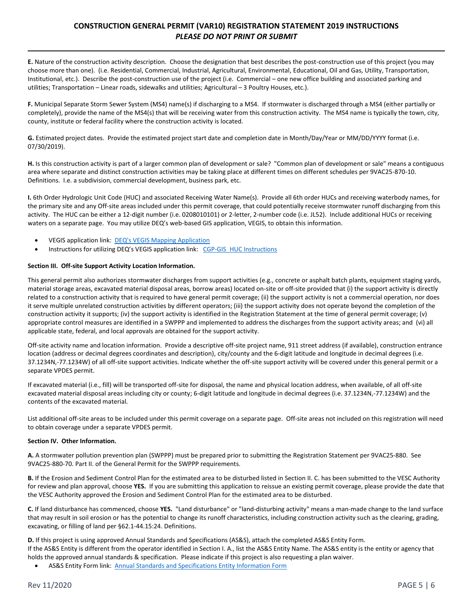## **CONSTRUCTION GENERAL PERMIT (VAR10) REGISTRATION STATEMENT 2019 INSTRUCTIONS**  *PLEASE DO NOT PRINT OR SUBMIT*

**E.** Nature of the construction activity description. Choose the designation that best describes the post-construction use of this project (you may choose more than one). (i.e. Residential, Commercial, Industrial, Agricultural, Environmental, Educational, Oil and Gas, Utility, Transportation, Institutional, etc.). Describe the post-construction use of the project (i.e. Commercial – one new office building and associated parking and utilities; Transportation – Linear roads, sidewalks and utilities; Agricultural – 3 Poultry Houses, etc.).

**F.** Municipal Separate Storm Sewer System (MS4) name(s) if discharging to a MS4. If stormwater is discharged through a MS4 (either partially or completely), provide the name of the MS4(s) that will be receiving water from this construction activity. The MS4 name is typically the town, city, county, institute or federal facility where the construction activity is located.

**G.** Estimated project dates. Provide the estimated project start date and completion date in Month/Day/Year or MM/DD/YYYY format (i.e. 07/30/2019).

**H.** Is this construction activity is part of a larger common plan of development or sale? "Common plan of development or sale" means a contiguous area where separate and distinct construction activities may be taking place at different times on different schedules per 9VAC25-870-10. Definitions. I.e. a subdivision, commercial development, business park, etc.

**I.** 6th Order Hydrologic Unit Code (HUC) and associated Receiving Water Name(s). Provide all 6th order HUCs and receiving waterbody names, for the primary site and any Off-site areas included under this permit coverage, that could potentially receive stormwater runoff discharging from this activity. The HUC can be either a 12-digit number (i.e. 0208010101) or 2-letter, 2-number code (i.e. JL52). Include additional HUCs or receiving waters on a separate page. You may utilize DEQ's web-based GIS application, VEGIS, to obtain this information.

- VEGIS application link: [DEQ's VEGIS Mapping Application](https://apps.deq.virginia.gov/mapper_ext/?service=public/wimby)
- Instructions for utilizing DEQ's VEGIS application link: [CGP-GIS\\_HUC Instructions](https://www.deq.virginia.gov/Portals/0/DEQ/Water/Publications/CGP-GIS_HUC_Instructions.pdf)

### **Section III. Off-site Support Activity Location Information.**

This general permit also authorizes stormwater discharges from support activities (e.g., concrete or asphalt batch plants, equipment staging yards, material storage areas, excavated material disposal areas, borrow areas) located on-site or off-site provided that (i) the support activity is directly related to a construction activity that is required to have general permit coverage; (ii) the support activity is not a commercial operation, nor does it serve multiple unrelated construction activities by different operators; (iii) the support activity does not operate beyond the completion of the construction activity it supports; (iv) the support activity is identified in the Registration Statement at the time of general permit coverage; (v) appropriate control measures are identified in a SWPPP and implemented to address the discharges from the support activity areas; and (vi) all applicable state, federal, and local approvals are obtained for the support activity.

Off-site activity name and location information. Provide a descriptive off-site project name, 911 street address (if available), construction entrance location (address or decimal degrees coordinates and description), city/county and the 6-digit latitude and longitude in decimal degrees (i.e. 37.1234N,-77.1234W) of all off-site support activities. Indicate whether the off-site support activity will be covered under this general permit or a separate VPDES permit.

If excavated material (i.e., fill) will be transported off-site for disposal, the name and physical location address, when available, of all off-site excavated material disposal areas including city or county; 6-digit latitude and longitude in decimal degrees (i.e. 37.1234N,-77.1234W) and the contents of the excavated material.

List additional off-site areas to be included under this permit coverage on a separate page. Off-site areas not included on this registration will need to obtain coverage under a separate VPDES permit.

#### **Section IV. Other Information.**

**A.** A stormwater pollution prevention plan (SWPPP) must be prepared prior to submitting the Registration Statement per 9VAC25-880. See 9VAC25-880-70. Part II. of the General Permit for the SWPPP requirements.

**B.** If the Erosion and Sediment Control Plan for the estimated area to be disturbed listed in Section II. C. has been submitted to the VESC Authority for review and plan approval, choose **YES.** If you are submitting this application to reissue an existing permit coverage, please provide the date that the VESC Authority approved the Erosion and Sediment Control Plan for the estimated area to be disturbed.

**C.** If land disturbance has commenced, choose **YES.** "Land disturbance" or "land-disturbing activity" means a man-made change to the land surface that may result in soil erosion or has the potential to change its runoff characteristics, including construction activity such as the clearing, grading, excavating, or filling of land per §62.1-44.15:24. Definitions.

**D.** If this project is using approved Annual Standards and Specifications (AS&S), attach the completed AS&S Entity Form. If the AS&S Entity is different from the operator identified in Section I. A., list the AS&S Entity Name. The AS&S entity is the entity or agency that holds the approved annual standards & specification. Please indicate if this project is also requesting a plan waiver.

AS&S Entity Form link: [Annual Standards and Specifications Entity Information Form](https://www.deq.virginia.gov/Portals/0/DEQ/Water/StormwaterManagement/CGP%20Links/ASSEntityInfo_2016-12.pdf?ver=2017-12-01-082345-853)